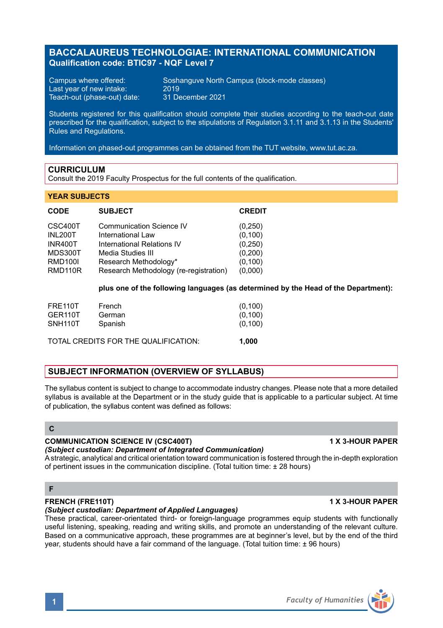# **BACCALAUREUS TECHNOLOGIAE: INTERNATIONAL COMMUNICATION Qualification code: BTIC97 - NQF Level 7**

Last year of new intake: 2019<br>Teach-out (phase-out) date: 31 December 2021 Teach-out (phase-out) date:

Campus where offered: Soshanguve North Campus (block-mode classes)<br>Last year of new intake: 2019

Students registered for this qualification should complete their studies according to the teach-out date prescribed for the qualification, subject to the stipulations of Regulation 3.1.11 and 3.1.13 in the Students' Rules and Regulations.

Information on phased-out programmes can be obtained from the TUT website, www.tut.ac.za.

## **CURRICULUM**

Consult the 2019 Faculty Prospectus for the full contents of the qualification.

#### **YEAR SUBJECTS**

| <b>CODE</b>    | <b>SUBJECT</b>                         | <b>CREDIT</b> |
|----------------|----------------------------------------|---------------|
| CSC400T        | Communication Science IV               | (0, 250)      |
| <b>INL200T</b> | International Law                      | (0, 100)      |
| INR400T        | International Relations IV             | (0, 250)      |
| MDS300T        | Media Studies III                      | (0,200)       |
| <b>RMD100I</b> | Research Methodology*                  | (0, 100)      |
| RMD110R        | Research Methodology (re-registration) | (0,000)       |

**plus one of the following languages (as determined by the Head of the Department):**

| FRE110T                              | French  | (0, 100) |
|--------------------------------------|---------|----------|
| GER <sub>110</sub> T                 | German  | (0, 100) |
| SNH <sub>110</sub> T                 | Spanish | (0, 100) |
| TOTAL CREDITS FOR THE QUALIFICATION: | 1.000   |          |

### **SUBJECT INFORMATION (OVERVIEW OF SYLLABUS)**

The syllabus content is subject to change to accommodate industry changes. Please note that a more detailed syllabus is available at the Department or in the study guide that is applicable to a particular subject. At time of publication, the syllabus content was defined as follows:

# **C**

#### **COMMUNICATION SCIENCE IV (CSC400T) 1 X 3-HOUR PAPER**

#### *(Subject custodian: Department of Integrated Communication)*

A strategic, analytical and critical orientation toward communication is fostered through the in-depth exploration of pertinent issues in the communication discipline. (Total tuition time:  $\pm$  28 hours)

### **F**

## **FRENCH (FRE110T) 1 X 3-HOUR PAPER**

*(Subject custodian: Department of Applied Languages)*

These practical, career-orientated third- or foreign-language programmes equip students with functionally useful listening, speaking, reading and writing skills, and promote an understanding of the relevant culture. Based on a communicative approach, these programmes are at beginner's level, but by the end of the third year, students should have a fair command of the language. (Total tuition time: ± 96 hours)